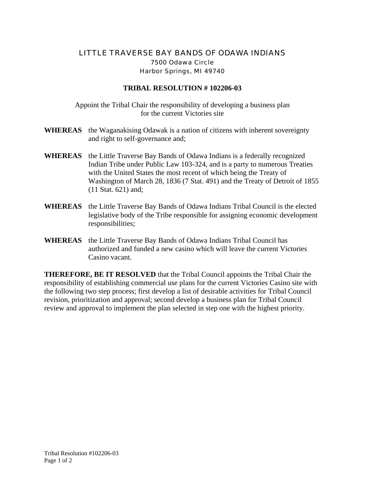## LITTLE TRAVERSE BAY BANDS OF ODAWA INDIANS 7500 Odawa Circle Harbor Springs, MI 49740

## **TRIBAL RESOLUTION # 102206-03**

Appoint the Tribal Chair the responsibility of developing a business plan for the current Victories site

- **WHEREAS** the Waganakising Odawak is a nation of citizens with inherent sovereignty and right to self-governance and;
- **WHEREAS** the Little Traverse Bay Bands of Odawa Indians is a federally recognized Indian Tribe under Public Law 103-324, and is a party to numerous Treaties with the United States the most recent of which being the Treaty of Washington of March 28, 1836 (7 Stat. 491) and the Treaty of Detroit of 1855 (11 Stat. 621) and;
- **WHEREAS** the Little Traverse Bay Bands of Odawa Indians Tribal Council is the elected legislative body of the Tribe responsible for assigning economic development responsibilities;
- **WHEREAS** the Little Traverse Bay Bands of Odawa Indians Tribal Council has authorized and funded a new casino which will leave the current Victories Casino vacant.

**THEREFORE, BE IT RESOLVED** that the Tribal Council appoints the Tribal Chair the responsibility of establishing commercial use plans for the current Victories Casino site with the following two step process; first develop a list of desirable activities for Tribal Council revision, prioritization and approval; second develop a business plan for Tribal Council review and approval to implement the plan selected in step one with the highest priority.